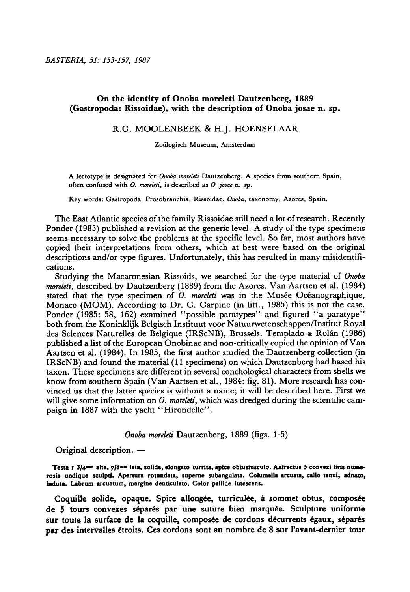# On the identity of Onoba moreleti Dautzenberg, 1889 (Gastropoda: Rissoidae), with the description of Onoba josae n. sp.

### R.G. Moolenbeek& H.J. Hoenselaar

Zoologisch Museum, Amsterdam

A lectotype is designated for Onoba moreleti Dautzenberg. A species from southern Spain, often confused with O. moreleti, is described as O. josae n. sp.

Key words: Gastropoda, Prosobranchia, Rissoidae, Onoba, taxonomy, Azores, Spain.

The East Atlantic species of the family Rissoidae still need a lot of research. Recently Ponder (1985) published <sup>a</sup> revision at the generic level. A study of the type specimens seems necessary to solve the problems at the specific level. So far, most authors have copied their interpretations from others, which at best were based on the original descriptions and/or type figures. Unfortunately, this has resulted in many misidentifications.

Studying the Macaronesian Rissoids, we searched for the type material of Onoba moreleti, described by Dautzenberg (1889) from the Azores. Van Aartsen et al. (1984) stated that the type specimen of  $\ddot{O}$ . moreleti was in the Musée Océanographique, Monaco (MOM). According to Dr. C. Carpine (in litt., 1985) this is not the case. Ponder (1985: 58, 162) examined "possible paratypes" and figured "a paratype" both from the Koninklijk Belgisch Instituut voor Natuurwetenschappen/Institut Royal des Sciences Naturelles de Belgique (IRScNB), Brussels. Templado & Rolan (1986) published <sup>a</sup> listof the European Onobinae and non-critically copied the opinion of Van Aartsen et al. (1984). In 1985, the first author studied the Dautzenberg collection (in IRScNB) and found the material(11 specimens) on which Dautzenberg had based his taxon. These specimens are different in several conchological characters from shells we know from southern Spain (Van Aartsen et al., 1984: fig. 81). More research has convinced us that the latter species is without <sup>a</sup> name; it will be described here. First we will give some information on  $O$ . moreleti, which was dredged during the scientific campaign in <sup>1887</sup> with the yacht "Hirondelle".

Onoba moreleti Dautzenberg, 1889 (figs. 1-5)

Original description.

Testa i 3/4™™ alta, 7/8""" lata, solida, elongato turrita, apice obtusiusculo. Anfractus <sup>5</sup> convexi liris numerosis undique sculpti. Apertura rotundata, superne subangulata. Columella arcuata, callo tenui, adnato, induta. Labrum arcuatum, margine denticulato. Color pallide lutescens.

Coquille solide, opaque. Spire allongée, turriculée, à sommet obtus, composée de 5 tours convexes séparés par une suture bien marquée. Sculpture uniforme sur toute la surface de la coquille, composée de cordons décurrents égaux, séparés par des intervalles 6troits. Ces cordons sont au nombre de <sup>8</sup> sur l'avant-dernier tour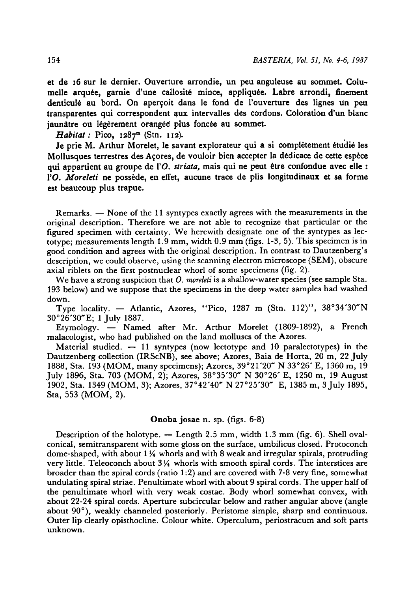et de <sup>16</sup> sur le dernier. Ouverture arrondie, un peu anguleuse au sommet. Columelle arquée, garnie d'une callosité mince, appliquée. Labre arrondi, finement denticulé au bord. On aperçoit dans le fond de l'ouverture des lignes un peu transparentes qui correspondent aux intervalles des cordons. Coloration d'un blanc jaunâtre ou légèrement orangée plus foncée au sommet.

Habitat: Pico,  $1287<sup>m</sup>$  (Stn.  $112$ ).

Je prie M. Arthur Morelet, le savant explorateur qui a si complètement étudié les Mollusques terrestres des Açores, de vouloir bien accepter la dédicace de cette espèce qui appartient au groupe de l'O. striata, mais qui ne peut être confondue avec elle : FO. Moreleti ne possède, en effet, aucune trace de plis longitudinaux et sa forme est beaucoup plus trapue.

Remarks. — None of the 11 syntypes exactly agrees with the measurements in the original description. Therefore we are not able to recognize that particular or the figured specimen with certainty. We herewith designate one of the syntypes as lectotype; measurements length 1.9mm, width 0.9 mm (figs. 1-3, 5). This specimen is in good condition and agrees with the original description. In contrast to Dautzenberg's description, we could observe, using the scanning electron microscope (SEM), obscure axial riblets on the first postnuclear whorl of some specimens (fig. 2).

We have a strong suspicion that  $O$ , more let is a shallow-water species (see sample Sta. <sup>193</sup> below) and we suppose that the specimens in the deep water samples had washed down.

Type locality. — Atlantic, Azores, "Pico, 1287 m (Stn. 112)",  $38^{\circ}34'30''$ N 30°26'30"E; 1 July 1887.

Etymology. — Named after Mr. Arthur Morelet (1809-1892), a French malacologist, who had published on the land molluscs of the Azores.

Material studied.  $-11$  syntypes (now lectotype and 10 paralectotypes) in the Dautzenberg collection (IRScNB), see above; Azores, Baia de Horta, 20 m, 22 July 1888, Sta. <sup>193</sup> (MOM, many specimens); Azores, 39°21'20" N 33°26' E, <sup>1360</sup> m, <sup>19</sup> July 1896, Sta. 703 (MOM, 2); Azores, 38°35'30~ N 30°26' E, 1250 m, <sup>19</sup> August 1902, Sta. 1349 (MOM, 3); Azores, 37°42'40" N 27°25'30~ E, 1385 m, <sup>3</sup> July 1895, Sta, 553 (MOM, 2).

# Onoba josae n. sp. (figs. 6-8)

Description of the holotype. — Length 2.5 mm, width 1.3 mm (fig. 6). Shell ovalconical, semitransparent with some gloss on the surface, umbilicus closed. Protoconch dome-shaped, with about  $1\frac{1}{4}$  whorls and with 8 weak and irregular spirals, protruding very little. Teleoconch about  $3\frac{1}{4}$  whorls with smooth spiral cords. The interstices are broader than the spiral cords (ratio 1:2) and are covered with 7-8 very fine, somewhat undulating spiral striae. Penultimate whorl with about 9 spiral cords. The upper half of the penultimate whorl with very weak costae. Body whorl somewhat convex, with about 22-24 spiral cords. Aperture subcircular below and rather angular above (angle about 90°), weakly channeled posteriorly. Peristome simple, sharp and continuous. Outer lip clearly opisthocline. Colour white. Operculum, periostracum and soft parts unknown.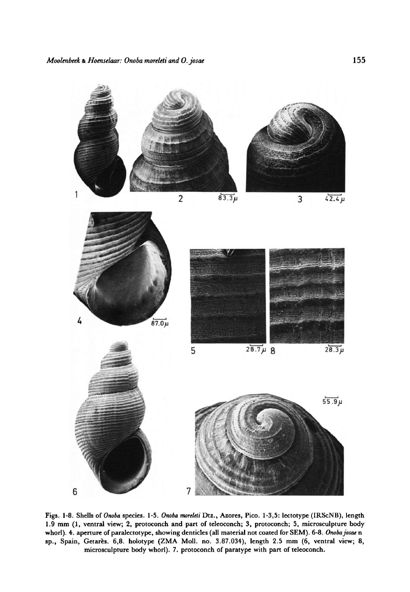

sp., Spain, Getares. 6,8. holotype (ZMA Moll. no. 3.87.034), length 2.5 mm (6, ventral view; 8, microsculpture body whorl). 7. protoconch of paratype with part of teleoconch. whorl). 4. aperture of paralectotype, showing denticles (all material not coated for SEM). 6-8. Onoba josae n Figs. 1-8. Shells of Onoba species. 1-5. Onoba moreleti Dtz., Azores, Pico. 1-3,5: lectotype (IRScNB), length 1.9 mm (1, ventral view; 2, protoconch and part of teleoconch; 3, protoconch; 5, microsculpture body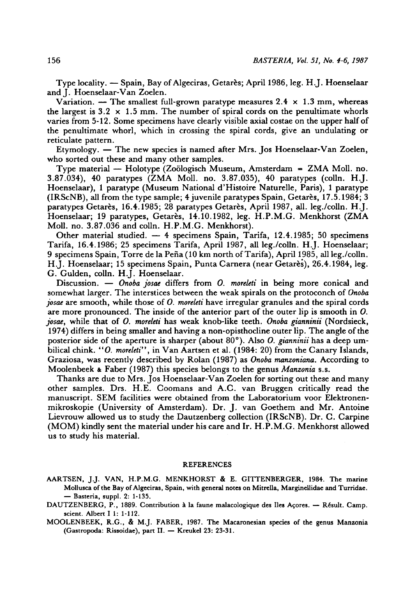Type locality. — Spain, Bay of Algeciras, Getarès; April 1986, leg. H.J. Hoenselaar and I. Hoenselaar-Van Zoelen.

Variation. — The smallest full-grown paratype measures 2.4  $\times$  1.3 mm, whereas the largest is  $3.2 \times 1.5$  mm. The number of spiral cords on the penultimate whorls varies from 5-12. Some specimens have clearly visible axial costae on the upper halfof the penultimate whorl, which in crossing the spiral cords, give an undulating or reticulate pattern.

Etymology. — The new species is named after Mrs. Jos Hoenselaar-Van Zoelen, who sorted out these and many other samples.

Type material  $-$  Holotype (Zoölogisch Museum, Amsterdam = ZMA Moll. no. 3.87.034), <sup>40</sup> paratypes (ZMA Moll. no. 3.87.035), <sup>40</sup> paratypes (colln. H.J. Hoenselaar), <sup>1</sup> paratype (Museum National d'Histoire Naturelle, Paris), <sup>1</sup> paratype (IRScNB), all from the type sample; 4 juvenile paratypes Spain, Getares, 17.5.1984; <sup>3</sup> paratypes Getares, 16.4.1985; 28 paratypes Getares, April 1987, all. leg./colln. H.J. Hoenselaar; <sup>19</sup> paratypes, Getares, 14.10.1982, leg. H.P.M.G. Menkhorst (ZMA Moll. no. 3.87.036 and colln. H.P.M.G. Menkhorst).

Other material studied.  $-4$  specimens Spain, Tarifa, 12.4.1985; 50 specimens Tarifa, 16.4.1986; 25 specimens Tarifa, April 1987, all leg./colln. H.J. Hoenselaar; <sup>9</sup> specimens Spain, Torre de la Pena(10 km northof Tarifa), April 1985, all leg./colln. H.J. Hoenselaar; <sup>15</sup> specimens Spain, Punta Camera (near Getares), 26.4.1984, leg. G. Gulden, colln. H.J. Hoenselaar.

Discussion.  $-$  Onoba josae differs from O. moreleti in being more conical and somewhat larger. The interstices between the weak spirals on the protoconch of Onoba josae are smooth, while those of O. moreleti have irregular granules and the spiral cords are more pronounced. The inside of the anterior part of the outer lip is smooth in 0. josae, while that of O. moreleti has weak knob-like teeth. Onoba gianninii (Nordsieck, 1974) differs in being smaller and having a non-opisthocline outer lip. The angle of the posterior side of the aperture is sharper (about  $80^{\circ}$ ). Also *O. gianninii* has a deep umbilical chink. "O. moreleti", in Van Aartsen et al. (1984: 20) from the Canary Islands, Graziosa, was recently described by Rolan (1987) as Onoba manzoniana. According to Moolenbeek & Faber (1987) this species belongs to the genus Manzonia s.s.

Thanks are due to Mrs. Jos Hoenselaar-Van Zoelen for sorting out these and many other samples. Drs. H.E. Coomans and A.C. van Bruggen critically read the manuscript. SEM facilities were obtained from the Laboratorium voor Elektronenmikroskopie (University of Amsterdam). Dr. J. van Goethem and Mr. Antoine Lievrouw allowed us to study the Dautzenberg collection (IRScNB). Dr. C. Carpine (MOM) kindly sent the material under his care and Ir. H.P.M.G. Menkhorst allowed us to study his material.

#### REFERENCES

- AARTSEN, J.J. VAN, H.P.M.G. MENKHORST & E. GITTENBERGER, 1984. The marine Mollusca of the Bay of Algeciras, Spain, with general notes on Mitrella, Marginellidae and Turridae. Basteria, suppl. 2: 1-135.
- DAUTZENBERG, P., 1889. Contribution à la faune malacologique des Iles Açores.  $-$  Résult. Camp. scient. Albert I 1: 1-112.

MOOLENBEEK, R.G., & M.J. FABER, 1987. The Macaronesian species of the genus Manzonia (Gastropoda: Rissoidae), part II. - Kreukel 23: 23-31.